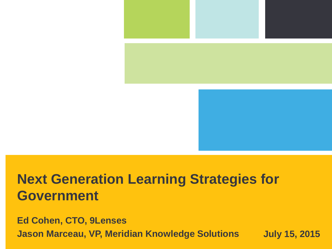

## **Next Generation Learning Strategies for Government**

11tione In **Jason Marceau, VP, Meridian Knowledge Solutions buly 15, 2015 July 15, 2015 Ed Cohen, CTO, 9Lenses**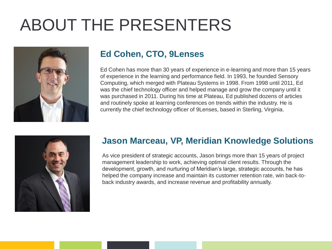## ABOUT THE PRESENTERS



#### **Ed Cohen, CTO, 9Lenses**

Ed Cohen has more than 30 years of experience in e-learning and more than 15 years of experience in the learning and performance field. In 1993, he founded Sensory Computing, which merged with Plateau Systems in 1998. From 1998 until 2011, Ed was the chief technology officer and helped manage and grow the company until it was purchased in 2011. During his time at Plateau, Ed published dozens of articles and routinely spoke at learning conferences on trends within the industry. He is currently the chief technology officer of 9Lenses, based in Sterling, Virginia.



#### **Jason Marceau, VP, Meridian Knowledge Solutions**

As vice president of strategic accounts, Jason brings more than 15 years of project management leadership to work, achieving optimal client results. Through the development, growth, and nurturing of Meridian's large, strategic accounts, he has helped the company increase and maintain its customer retention rate, win back-toback industry awards, and increase revenue and profitability annually.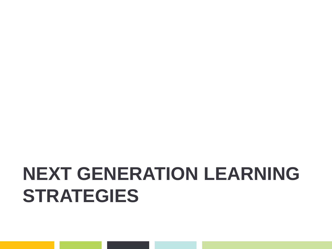# **NEXT GENERATION LEARNING STRATEGIES**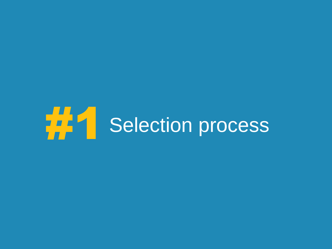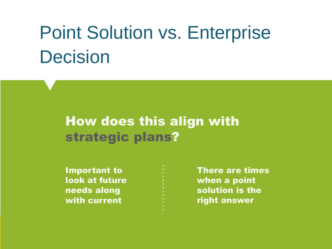# Point Solution vs. Enterprise Decision

### How does this align with strategic plans?

Important to look at future needs along with current

There are times when a point solution is the right answer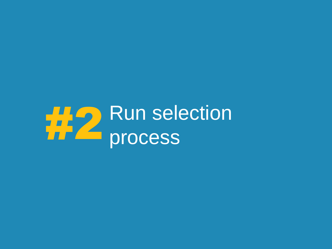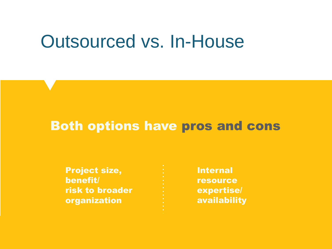## Outsourced vs. In-House

### Both options have pros and cons

| <b>Project size,</b>   |
|------------------------|
| benefit/               |
| <b>risk to broader</b> |
| organization           |

Internal resource expertise/ availability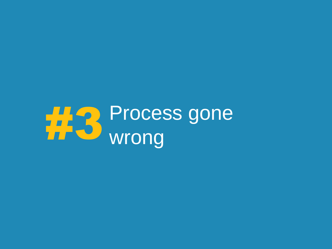# Process gone #3 wrong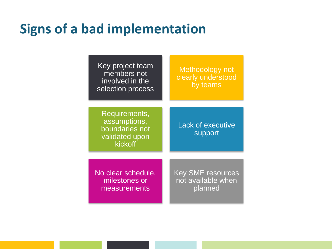### **Signs of a bad implementation**

Key project team members not involved in the selection process

Methodology not clearly understood by teams

Requirements, assumptions, boundaries not validated upon kickoff

Lack of executive support

No clear schedule, milestones or measurements

Key SME resources not available when planned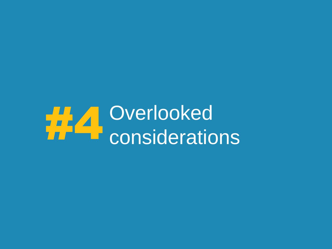# #44 Overlooked<br>Considerations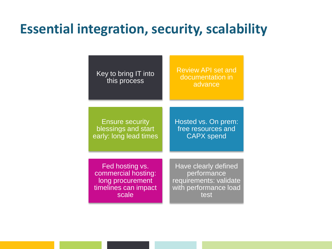### **Essential integration, security, scalability**

Key to bring IT into this process Review API set and documentation in advance **Ensure security** blessings and start early: long lead times Hosted vs. On prem: free resources and CAPX spend Fed hosting vs. commercial hosting: long procurement timelines can impact scale Have clearly defined **performance** requirements: validate with performance load test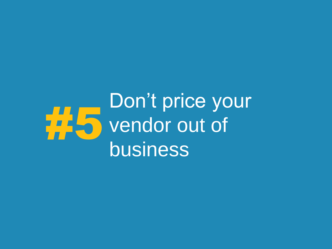## Don't price your vendor out of business 5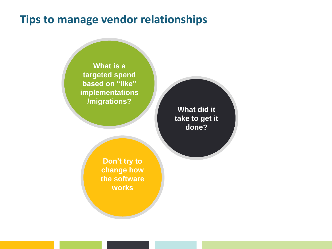#### **Tips to manage vendor relationships**

**What is a targeted spend based on "like" implementations /migrations?**

**What did it take to get it done?**

**Don't try to change how the software works**

<u>13 7/15/2015 - Andrea Andrea Andrea Andrea Andrea Andrea Andrea Andrea Andrea Andrea Andrea Andrea Andrea And</u>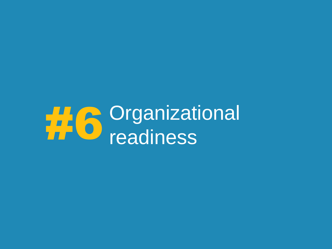# **#6** Organizational<br>readiness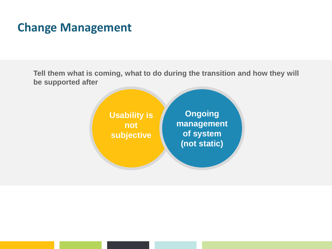### **Change Management**

**Tell them what is coming, what to do during the transition and how they will be supported after**